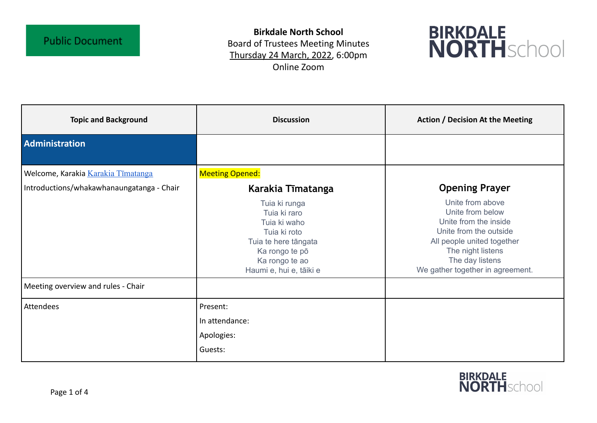**Birkdale North School** Board of Trustees Meeting Minutes Thursday 24 March, 2022, 6:00pm Online Zoom



| <b>Topic and Background</b>               | <b>Discussion</b>                                                                                                                                    | <b>Action / Decision At the Meeting</b>                                                                                                                                                           |
|-------------------------------------------|------------------------------------------------------------------------------------------------------------------------------------------------------|---------------------------------------------------------------------------------------------------------------------------------------------------------------------------------------------------|
| Administration                            |                                                                                                                                                      |                                                                                                                                                                                                   |
| Welcome, Karakia Karakia Tīmatanga        | <b>Meeting Opened:</b>                                                                                                                               |                                                                                                                                                                                                   |
| Introductions/whakawhanaungatanga - Chair | Karakia Tīmatanga                                                                                                                                    | <b>Opening Prayer</b>                                                                                                                                                                             |
|                                           | Tuia ki runga<br>Tuia ki raro<br>Tuia ki waho<br>Tuia ki roto<br>Tuia te here tāngata<br>Ka rongo te pō<br>Ka rongo te ao<br>Haumi e, hui e, tāiki e | Unite from above<br>Unite from below<br>Unite from the inside<br>Unite from the outside<br>All people united together<br>The night listens<br>The day listens<br>We gather together in agreement. |
| Meeting overview and rules - Chair        |                                                                                                                                                      |                                                                                                                                                                                                   |
| Attendees                                 | Present:<br>In attendance:<br>Apologies:<br>Guests:                                                                                                  |                                                                                                                                                                                                   |

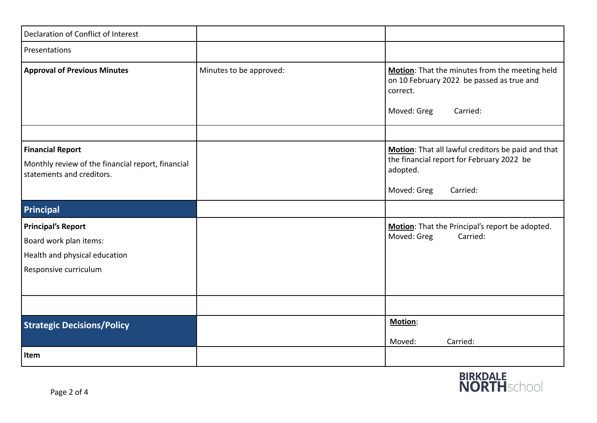| Declaration of Conflict of Interest                                                                           |                         |                                                                                                                                        |
|---------------------------------------------------------------------------------------------------------------|-------------------------|----------------------------------------------------------------------------------------------------------------------------------------|
| Presentations                                                                                                 |                         |                                                                                                                                        |
| <b>Approval of Previous Minutes</b>                                                                           | Minutes to be approved: | Motion: That the minutes from the meeting held<br>on 10 February 2022 be passed as true and<br>correct.<br>Moved: Greg<br>Carried:     |
|                                                                                                               |                         |                                                                                                                                        |
| <b>Financial Report</b><br>Monthly review of the financial report, financial<br>statements and creditors.     |                         | Motion: That all lawful creditors be paid and that<br>the financial report for February 2022 be<br>adopted.<br>Moved: Greg<br>Carried: |
| Principal                                                                                                     |                         |                                                                                                                                        |
| <b>Principal's Report</b><br>Board work plan items:<br>Health and physical education<br>Responsive curriculum |                         | Motion: That the Principal's report be adopted.<br>Moved: Greg<br>Carried:                                                             |
|                                                                                                               |                         |                                                                                                                                        |
| <b>Strategic Decisions/Policy</b>                                                                             |                         | Motion:<br>Moved:<br>Carried:                                                                                                          |
| Item                                                                                                          |                         |                                                                                                                                        |

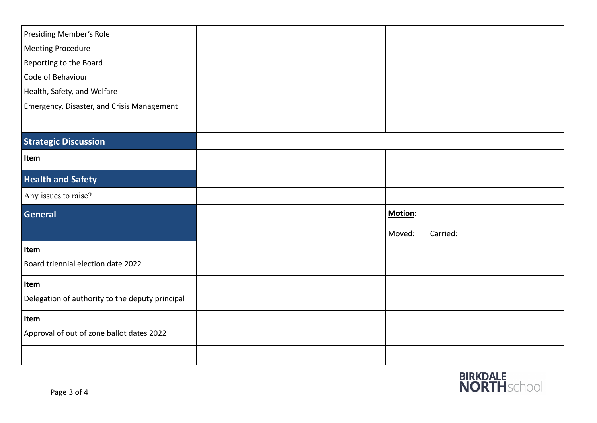| Presiding Member's Role                         |                    |
|-------------------------------------------------|--------------------|
| Meeting Procedure                               |                    |
| Reporting to the Board                          |                    |
| Code of Behaviour                               |                    |
| Health, Safety, and Welfare                     |                    |
| Emergency, Disaster, and Crisis Management      |                    |
|                                                 |                    |
| <b>Strategic Discussion</b>                     |                    |
| Item                                            |                    |
| <b>Health and Safety</b>                        |                    |
| Any issues to raise?                            |                    |
| General                                         | Motion:            |
|                                                 | Moved:<br>Carried: |
| Item                                            |                    |
| Board triennial election date 2022              |                    |
| Item                                            |                    |
| Delegation of authority to the deputy principal |                    |
| Item                                            |                    |
| Approval of out of zone ballot dates 2022       |                    |
|                                                 |                    |